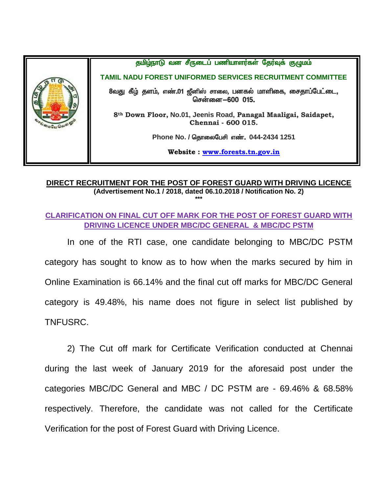

## **DIRECT RECRUITMENT FOR THE POST OF FOREST GUARD WITH DRIVING LICENCE (Advertisement No.1 / 2018, dated 06.10.2018 / Notification No. 2) \*\*\***

## **CLARIFICATION ON FINAL CUT OFF MARK FOR THE POST OF FOREST GUARD WITH DRIVING LICENCE UNDER MBC/DC GENERAL & MBC/DC PSTM**

In one of the RTI case, one candidate belonging to MBC/DC PSTM category has sought to know as to how when the marks secured by him in Online Examination is 66.14% and the final cut off marks for MBC/DC General category is 49.48%, his name does not figure in select list published by TNFUSRC.

2) The Cut off mark for Certificate Verification conducted at Chennai during the last week of January 2019 for the aforesaid post under the categories MBC/DC General and MBC / DC PSTM are - 69.46% & 68.58% respectively. Therefore, the candidate was not called for the Certificate Verification for the post of Forest Guard with Driving Licence.